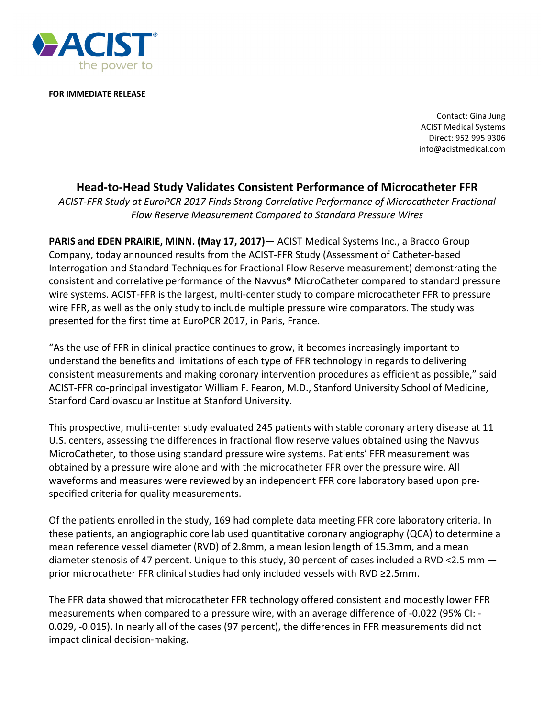

**FOR IMMEDIATE RELEASE** 

Contact: Gina Jung ACIST Medical Systems Direct: 952 995 9306 info@acistmedical.com

## **Head-to-Head Study Validates Consistent Performance of Microcatheter FFR**

*ACIST-FFR Study at EuroPCR 2017 Finds Strong Correlative Performance of Microcatheter Fractional Flow Reserve Measurement Compared to Standard Pressure Wires*

**PARIS and EDEN PRAIRIE, MINN. (May 17, 2017)—** ACIST Medical Systems Inc., a Bracco Group Company, today announced results from the ACIST-FFR Study (Assessment of Catheter-based Interrogation and Standard Techniques for Fractional Flow Reserve measurement) demonstrating the consistent and correlative performance of the Navvus® MicroCatheter compared to standard pressure wire systems. ACIST-FFR is the largest, multi-center study to compare microcatheter FFR to pressure wire FFR, as well as the only study to include multiple pressure wire comparators. The study was presented for the first time at EuroPCR 2017, in Paris, France.

"As the use of FFR in clinical practice continues to grow, it becomes increasingly important to understand the benefits and limitations of each type of FFR technology in regards to delivering consistent measurements and making coronary intervention procedures as efficient as possible," said ACIST-FFR co-principal investigator William F. Fearon, M.D., Stanford University School of Medicine, Stanford Cardiovascular Institue at Stanford University.

This prospective, multi-center study evaluated 245 patients with stable coronary artery disease at 11 U.S. centers, assessing the differences in fractional flow reserve values obtained using the Navvus MicroCatheter, to those using standard pressure wire systems. Patients' FFR measurement was obtained by a pressure wire alone and with the microcatheter FFR over the pressure wire. All waveforms and measures were reviewed by an independent FFR core laboratory based upon prespecified criteria for quality measurements.

Of the patients enrolled in the study, 169 had complete data meeting FFR core laboratory criteria. In these patients, an angiographic core lab used quantitative coronary angiography (QCA) to determine a mean reference vessel diameter (RVD) of 2.8mm, a mean lesion length of 15.3mm, and a mean diameter stenosis of 47 percent. Unique to this study, 30 percent of cases included a RVD <2.5 mm  $$ prior microcatheter FFR clinical studies had only included vessels with  $RVD \geq 2.5$ mm.

The FFR data showed that microcatheter FFR technology offered consistent and modestly lower FFR measurements when compared to a pressure wire, with an average difference of -0.022 (95% CI: -0.029, -0.015). In nearly all of the cases (97 percent), the differences in FFR measurements did not impact clinical decision-making.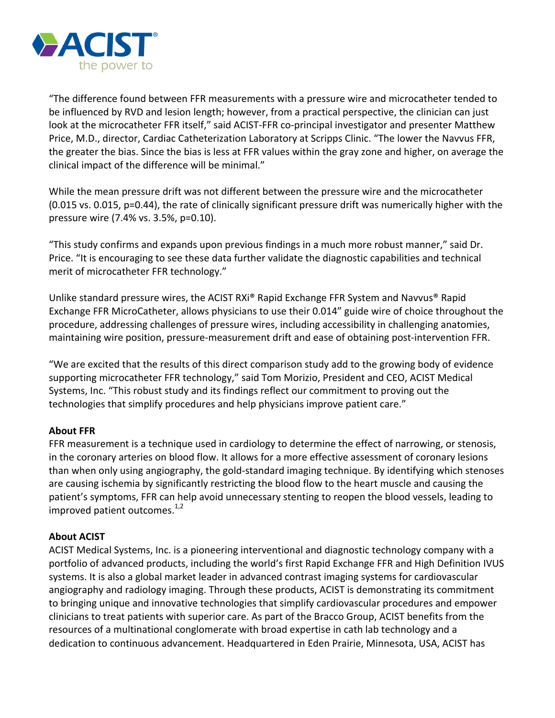

"The difference found between FFR measurements with a pressure wire and microcatheter tended to be influenced by RVD and lesion length; however, from a practical perspective, the clinician can just look at the microcatheter FFR itself," said ACIST-FFR co-principal investigator and presenter Matthew Price, M.D., director, Cardiac Catheterization Laboratory at Scripps Clinic. "The lower the Navvus FFR, the greater the bias. Since the bias is less at FFR values within the gray zone and higher, on average the clinical impact of the difference will be minimal."

While the mean pressure drift was not different between the pressure wire and the microcatheter (0.015 vs. 0.015, p=0.44), the rate of clinically significant pressure drift was numerically higher with the pressure wire (7.4% vs. 3.5%, p=0.10).

"This study confirms and expands upon previous findings in a much more robust manner," said Dr. Price. "It is encouraging to see these data further validate the diagnostic capabilities and technical merit of microcatheter FFR technology."

Unlike standard pressure wires, the ACIST  $RXi^{\circ}$  Rapid Exchange FFR System and Navvus<sup>®</sup> Rapid Exchange FFR MicroCatheter, allows physicians to use their 0.014" guide wire of choice throughout the procedure, addressing challenges of pressure wires, including accessibility in challenging anatomies, maintaining wire position, pressure-measurement drift and ease of obtaining post-intervention FFR.

"We are excited that the results of this direct comparison study add to the growing body of evidence supporting microcatheter FFR technology," said Tom Morizio, President and CEO, ACIST Medical Systems, Inc. "This robust study and its findings reflect our commitment to proving out the technologies that simplify procedures and help physicians improve patient care."

## **About FFR**

FFR measurement is a technique used in cardiology to determine the effect of narrowing, or stenosis, in the coronary arteries on blood flow. It allows for a more effective assessment of coronary lesions than when only using angiography, the gold-standard imaging technique. By identifying which stenoses are causing ischemia by significantly restricting the blood flow to the heart muscle and causing the patient's symptoms, FFR can help avoid unnecessary stenting to reopen the blood vessels, leading to improved patient outcomes. $^{1,2}$ 

## **About ACIST**

ACIST Medical Systems, Inc. is a pioneering interventional and diagnostic technology company with a portfolio of advanced products, including the world's first Rapid Exchange FFR and High Definition IVUS systems. It is also a global market leader in advanced contrast imaging systems for cardiovascular angiography and radiology imaging. Through these products, ACIST is demonstrating its commitment to bringing unique and innovative technologies that simplify cardiovascular procedures and empower clinicians to treat patients with superior care. As part of the Bracco Group, ACIST benefits from the resources of a multinational conglomerate with broad expertise in cath lab technology and a dedication to continuous advancement. Headquartered in Eden Prairie, Minnesota, USA, ACIST has